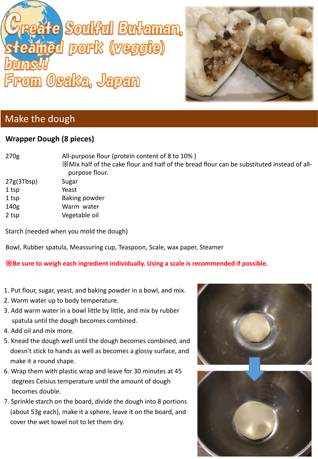# eåte Soulful Butaman, amed pork (veggie) From Osaka, Japan



## Make the dough

### **Wrapper Dough (8 pieces)**

270g All-purpose flour (protein content of 8 to 10% ) ※Mix half of the cake flour and half of the bread flour can be substituted instead of all purpose flour. 27g(3Tbsp) Sugar 1 tsp Yeast 1 tsp Baking powder 140g Warm water 2 tsp Vegetable oil

Starch (needed when you mold the dough)

Bowl, Rubber spatula, Meassuring cup, Teaspoon, Scale, wax paper, Steamer

#### ※**Be sure to weigh each ingredient individually. Using a scale is recommended if possible.**

- 1. Put flour, sugar, yeast, and baking powder in a bowl, and mix.
- 2. Warm water up to body temperature.
- 3. Add warm water in a bowl little by little, and mix by rubber spatula until the dough becomes combined.
- 4. Add oil and mixmore.
- 5. Knead the dough well until the dough becomes combined, and doesn't stick to hands as well as becomes a glossy surface, and make it a round shape.
- 6. Wrap them with plastic wrap and leave for 30 minutes at 45 degrees Celsius temperature until the amount of dough becomes double.
- 7. Sprinkle starch on the board, divide the dough into 8 portions (about 53g each), make it a sphere, leave it on the board, and cover the wet towel not to let them dry.